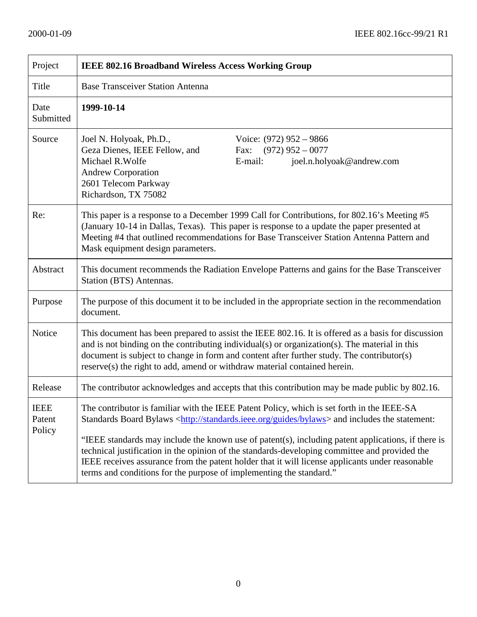| Project                         | IEEE 802.16 Broadband Wireless Access Working Group                                                                                                                                                                                                                                                                                                                                                                                                                                                                                                                                             |  |
|---------------------------------|-------------------------------------------------------------------------------------------------------------------------------------------------------------------------------------------------------------------------------------------------------------------------------------------------------------------------------------------------------------------------------------------------------------------------------------------------------------------------------------------------------------------------------------------------------------------------------------------------|--|
| Title                           | <b>Base Transceiver Station Antenna</b>                                                                                                                                                                                                                                                                                                                                                                                                                                                                                                                                                         |  |
| Date<br>Submitted               | 1999-10-14                                                                                                                                                                                                                                                                                                                                                                                                                                                                                                                                                                                      |  |
| Source                          | Joel N. Holyoak, Ph.D.,<br>Voice: $(972)$ 952 – 9866<br>Geza Dienes, IEEE Fellow, and<br>Fax: $(972)$ 952 - 0077<br>Michael R. Wolfe<br>E-mail:<br>joel.n.holyoak@andrew.com<br><b>Andrew Corporation</b><br>2601 Telecom Parkway<br>Richardson, TX 75082                                                                                                                                                                                                                                                                                                                                       |  |
| Re:                             | This paper is a response to a December 1999 Call for Contributions, for 802.16's Meeting #5<br>(January 10-14 in Dallas, Texas). This paper is response to a update the paper presented at<br>Meeting #4 that outlined recommendations for Base Transceiver Station Antenna Pattern and<br>Mask equipment design parameters.                                                                                                                                                                                                                                                                    |  |
| Abstract                        | This document recommends the Radiation Envelope Patterns and gains for the Base Transceiver<br>Station (BTS) Antennas.                                                                                                                                                                                                                                                                                                                                                                                                                                                                          |  |
| Purpose                         | The purpose of this document it to be included in the appropriate section in the recommendation<br>document.                                                                                                                                                                                                                                                                                                                                                                                                                                                                                    |  |
| Notice                          | This document has been prepared to assist the IEEE 802.16. It is offered as a basis for discussion<br>and is not binding on the contributing individual(s) or organization(s). The material in this<br>document is subject to change in form and content after further study. The contributor(s)<br>reserve(s) the right to add, amend or withdraw material contained herein.                                                                                                                                                                                                                   |  |
| Release                         | The contributor acknowledges and accepts that this contribution may be made public by 802.16.                                                                                                                                                                                                                                                                                                                                                                                                                                                                                                   |  |
| <b>IEEE</b><br>Patent<br>Policy | The contributor is familiar with the IEEE Patent Policy, which is set forth in the IEEE-SA<br>Standards Board Bylaws <http: bylaws="" guides="" standards.ieee.org=""> and includes the statement:<br/>"IEEE standards may include the known use of patent(s), including patent applications, if there is<br/>technical justification in the opinion of the standards-developing committee and provided the<br/>IEEE receives assurance from the patent holder that it will license applicants under reasonable<br/>terms and conditions for the purpose of implementing the standard."</http:> |  |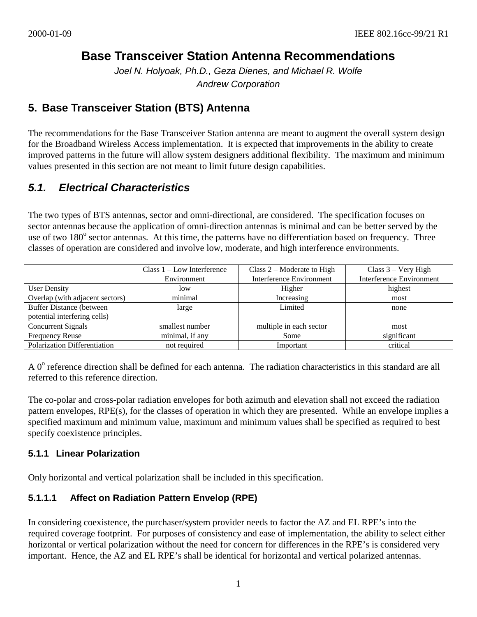# **Base Transceiver Station Antenna Recommendations**

*Joel N. Holyoak, Ph.D., Geza Dienes, and Michael R. Wolfe Andrew Corporation*

# **5. Base Transceiver Station (BTS) Antenna**

The recommendations for the Base Transceiver Station antenna are meant to augment the overall system design for the Broadband Wireless Access implementation. It is expected that improvements in the ability to create improved patterns in the future will allow system designers additional flexibility. The maximum and minimum values presented in this section are not meant to limit future design capabilities.

# *5.1. Electrical Characteristics*

The two types of BTS antennas, sector and omni-directional, are considered. The specification focuses on sector antennas because the application of omni-direction antennas is minimal and can be better served by the use of two 180° sector antennas. At this time, the patterns have no differentiation based on frequency. Three classes of operation are considered and involve low, moderate, and high interference environments.

|                                 | Class $1 - Low$ Interference | Class $2$ – Moderate to High | Class $3 - \text{Very High}$    |
|---------------------------------|------------------------------|------------------------------|---------------------------------|
|                                 | Environment                  | Interference Environment     | <b>Interference Environment</b> |
| <b>User Density</b>             | low                          | Higher                       | highest                         |
| Overlap (with adjacent sectors) | minimal                      | Increasing                   | most                            |
| <b>Buffer Distance (between</b> | large                        | Limited                      | none                            |
| potential interfering cells)    |                              |                              |                                 |
| Concurrent Signals              | smallest number              | multiple in each sector      | most                            |
| <b>Frequency Reuse</b>          | minimal, if any              | Some                         | significant                     |
| Polarization Differentiation    | not required                 | Important                    | critical                        |

A  $0^{\circ}$  reference direction shall be defined for each antenna. The radiation characteristics in this standard are all referred to this reference direction.

The co-polar and cross-polar radiation envelopes for both azimuth and elevation shall not exceed the radiation pattern envelopes, RPE(s), for the classes of operation in which they are presented. While an envelope implies a specified maximum and minimum value, maximum and minimum values shall be specified as required to best specify coexistence principles.

# **5.1.1 Linear Polarization**

Only horizontal and vertical polarization shall be included in this specification.

# **5.1.1.1 Affect on Radiation Pattern Envelop (RPE)**

In considering coexistence, the purchaser/system provider needs to factor the AZ and EL RPE's into the required coverage footprint. For purposes of consistency and ease of implementation, the ability to select either horizontal or vertical polarization without the need for concern for differences in the RPE's is considered very important. Hence, the AZ and EL RPE's shall be identical for horizontal and vertical polarized antennas.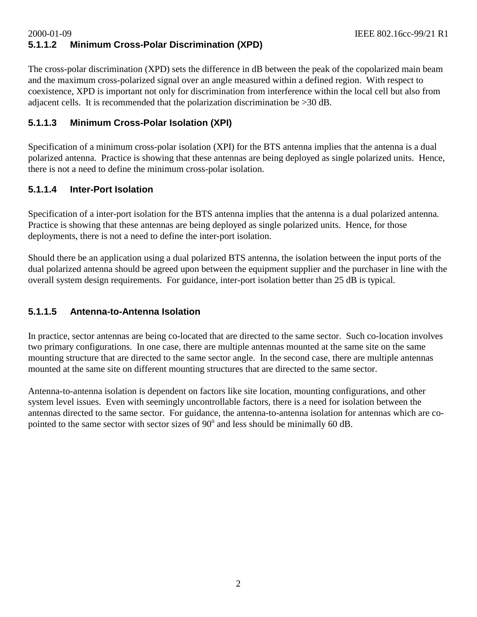# 2000-01-09 IEEE 802.16cc-99/21 R1 **5.1.1.2 Minimum Cross-Polar Discrimination (XPD)**

The cross-polar discrimination (XPD) sets the difference in dB between the peak of the copolarized main beam and the maximum cross-polarized signal over an angle measured within a defined region. With respect to coexistence, XPD is important not only for discrimination from interference within the local cell but also from adjacent cells. It is recommended that the polarization discrimination be >30 dB.

#### **5.1.1.3 Minimum Cross-Polar Isolation (XPI)**

Specification of a minimum cross-polar isolation (XPI) for the BTS antenna implies that the antenna is a dual polarized antenna. Practice is showing that these antennas are being deployed as single polarized units. Hence, there is not a need to define the minimum cross-polar isolation.

## **5.1.1.4 Inter-Port Isolation**

Specification of a inter-port isolation for the BTS antenna implies that the antenna is a dual polarized antenna. Practice is showing that these antennas are being deployed as single polarized units. Hence, for those deployments, there is not a need to define the inter-port isolation.

Should there be an application using a dual polarized BTS antenna, the isolation between the input ports of the dual polarized antenna should be agreed upon between the equipment supplier and the purchaser in line with the overall system design requirements. For guidance, inter-port isolation better than 25 dB is typical.

#### **5.1.1.5 Antenna-to-Antenna Isolation**

In practice, sector antennas are being co-located that are directed to the same sector. Such co-location involves two primary configurations. In one case, there are multiple antennas mounted at the same site on the same mounting structure that are directed to the same sector angle. In the second case, there are multiple antennas mounted at the same site on different mounting structures that are directed to the same sector.

Antenna-to-antenna isolation is dependent on factors like site location, mounting configurations, and other system level issues. Even with seemingly uncontrollable factors, there is a need for isolation between the antennas directed to the same sector. For guidance, the antenna-to-antenna isolation for antennas which are copointed to the same sector with sector sizes of  $90^{\circ}$  and less should be minimally 60 dB.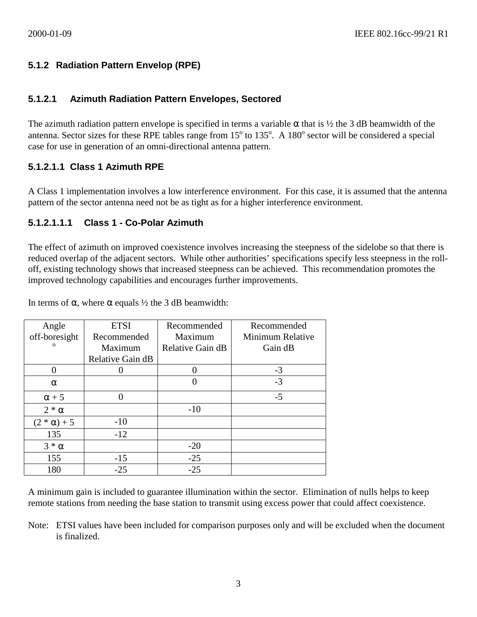# **5.1.2 Radiation Pattern Envelop (RPE)**

#### **5.1.2.1 Azimuth Radiation Pattern Envelopes, Sectored**

The azimuth radiation pattern envelope is specified in terms a variable  $\alpha$  that is  $\frac{1}{2}$  the 3 dB beamwidth of the antenna. Sector sizes for these RPE tables range from  $15^{\circ}$  to  $135^{\circ}$ . A  $180^{\circ}$  sector will be considered a special case for use in generation of an omni-directional antenna pattern.

# **5.1.2.1.1 Class 1 Azimuth RPE**

A Class 1 implementation involves a low interference environment. For this case, it is assumed that the antenna pattern of the sector antenna need not be as tight as for a higher interference environment.

# **5.1.2.1.1.1 Class 1 - Co-Polar Azimuth**

The effect of azimuth on improved coexistence involves increasing the steepness of the sidelobe so that there is reduced overlap of the adjacent sectors. While other authorities' specifications specify less steepness in the rolloff, existing technology shows that increased steepness can be achieved. This recommendation promotes the improved technology capabilities and encourages further improvements.

In terms of α, where α equals  $\frac{1}{2}$  the 3 dB beamwidth:

| Angle              | <b>ETSI</b>      | Recommended      | Recommended      |
|--------------------|------------------|------------------|------------------|
| off-boresight      | Recommended      | Maximum          | Minimum Relative |
| $\mathbf{O}$       | Maximum          | Relative Gain dB | Gain dB          |
|                    | Relative Gain dB |                  |                  |
|                    |                  |                  | $-3$             |
| $\alpha$           |                  | 0                | $-3$             |
| $\alpha + 5$       |                  |                  | $-5$             |
| $2 * \alpha$       |                  | $-10$            |                  |
| $(2 * \alpha) + 5$ | $-10$            |                  |                  |
| 135                | $-12$            |                  |                  |
| $3 * \alpha$       |                  | $-20$            |                  |
| 155                | $-15$            | $-25$            |                  |
| 180                | $-25$            | $-25$            |                  |

A minimum gain is included to guarantee illumination within the sector. Elimination of nulls helps to keep remote stations from needing the base station to transmit using excess power that could affect coexistence.

Note: ETSI values have been included for comparison purposes only and will be excluded when the document is finalized.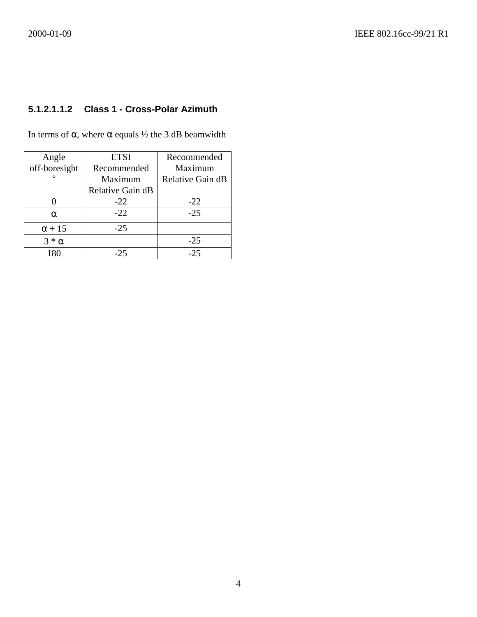# **5.1.2.1.1.2 Class 1 - Cross-Polar Azimuth**

In terms of α, where α equals  $\frac{1}{2}$  the 3 dB beamwidth

| Angle         | <b>ETSI</b>      | Recommended      |
|---------------|------------------|------------------|
| off-boresight | Recommended      | Maximum          |
| $\Omega$      | Maximum          | Relative Gain dB |
|               | Relative Gain dB |                  |
|               | $-22$            | $-22$            |
| $\alpha$      | $-22$            | $-25$            |
| $\alpha$ + 15 | $-25$            |                  |
| $3 * \alpha$  |                  | $-25$            |
| 180           | $-25$            | $-25$            |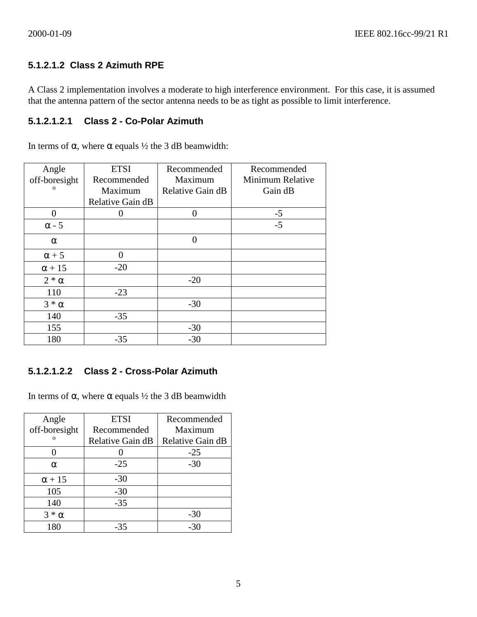# **5.1.2.1.2 Class 2 Azimuth RPE**

A Class 2 implementation involves a moderate to high interference environment. For this case, it is assumed that the antenna pattern of the sector antenna needs to be as tight as possible to limit interference.

# **5.1.2.1.2.1 Class 2 - Co-Polar Azimuth**

In terms of α, where α equals  $\frac{1}{2}$  the 3 dB beamwidth:

| Angle         | <b>ETSI</b>      | Recommended      | Recommended      |
|---------------|------------------|------------------|------------------|
| off-boresight | Recommended      | Maximum          | Minimum Relative |
| $\mathbf{o}$  | Maximum          | Relative Gain dB | Gain dB          |
|               | Relative Gain dB |                  |                  |
| 0             |                  | 0                | $-5$             |
| $\alpha$ - 5  |                  |                  | $-5$             |
| $\alpha$      |                  | 0                |                  |
| $\alpha + 5$  | 0                |                  |                  |
| $\alpha + 15$ | $-20$            |                  |                  |
| $2 * \alpha$  |                  | $-20$            |                  |
| 110           | $-23$            |                  |                  |
| $3 * \alpha$  |                  | $-30$            |                  |
| 140           | $-35$            |                  |                  |
| 155           |                  | $-30$            |                  |
| 180           | $-35$            | $-30$            |                  |

# **5.1.2.1.2.2 Class 2 - Cross-Polar Azimuth**

In terms of α, where  $\alpha$  equals  $\frac{1}{2}$  the 3 dB beamwidth

| Angle         | <b>ETSI</b>      | Recommended      |
|---------------|------------------|------------------|
| off-boresight | Recommended      | Maximum          |
| $\Omega$      | Relative Gain dB | Relative Gain dB |
|               |                  | $-25$            |
| $\alpha$      | $-25$            | $-30$            |
| $\alpha$ + 15 | $-30$            |                  |
| 105           | $-30$            |                  |
| 140           | $-35$            |                  |
| $3 * \alpha$  |                  | $-30$            |
| 180           | -35              | -30              |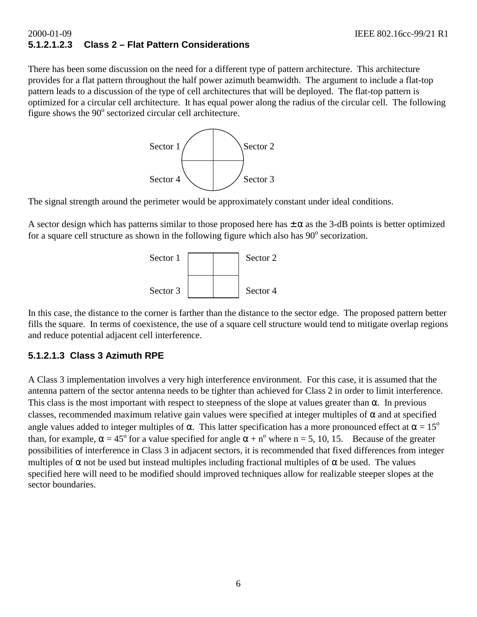## 2000-01-09 IEEE 802.16cc-99/21 R1 **5.1.2.1.2.3 Class 2 – Flat Pattern Considerations**

There has been some discussion on the need for a different type of pattern architecture. This architecture provides for a flat pattern throughout the half power azimuth beamwidth. The argument to include a flat-top pattern leads to a discussion of the type of cell architectures that will be deployed. The flat-top pattern is optimized for a circular cell architecture. It has equal power along the radius of the circular cell. The following figure shows the 90° sectorized circular cell architecture.



The signal strength around the perimeter would be approximately constant under ideal conditions.

A sector design which has patterns similar to those proposed here has  $\pm \alpha$  as the 3-dB points is better optimized for a square cell structure as shown in the following figure which also has  $90^\circ$  secorization.



In this case, the distance to the corner is farther than the distance to the sector edge. The proposed pattern better fills the square. In terms of coexistence, the use of a square cell structure would tend to mitigate overlap regions and reduce potential adjacent cell interference.

# **5.1.2.1.3 Class 3 Azimuth RPE**

A Class 3 implementation involves a very high interference environment. For this case, it is assumed that the antenna pattern of the sector antenna needs to be tighter than achieved for Class 2 in order to limit interference. This class is the most important with respect to steepness of the slope at values greater than  $\alpha$ . In previous classes, recommended maximum relative gain values were specified at integer multiples of  $\alpha$  and at specified angle values added to integer multiples of  $\alpha$ . This latter specification has a more pronounced effect at  $\alpha = 15^{\circ}$ than, for example,  $\alpha = 45^{\circ}$  for a value specified for angle  $\alpha + n^{\circ}$  where n = 5, 10, 15. Because of the greater possibilities of interference in Class 3 in adjacent sectors, it is recommended that fixed differences from integer multiples of  $\alpha$  not be used but instead multiples including fractional multiples of  $\alpha$  be used. The values specified here will need to be modified should improved techniques allow for realizable steeper slopes at the sector boundaries.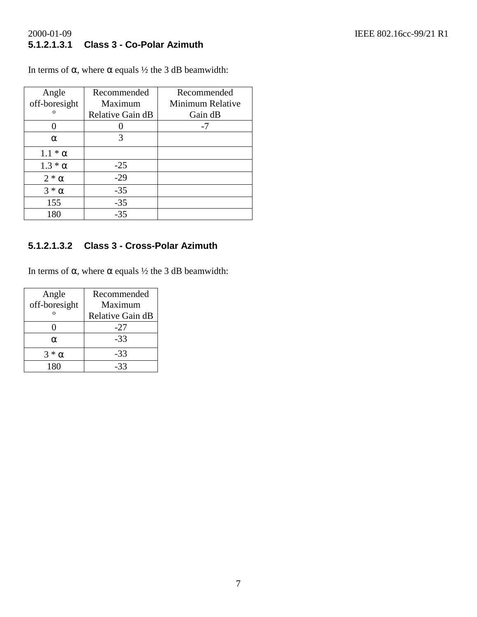# 2000-01-09<br> **5.1.2.1.3.1 Class 3 - Co-Polar Azimuth**<br> **2000-01-09**<br> **2000-01-09**<br> **IEEE 802.16cc-99/21 R1 5.1.2.1.3.1 Class 3 - Co-Polar Azimuth**

In terms of α, where α equals  $\frac{1}{2}$  the 3 dB beamwidth:

| Angle          | Recommended      | Recommended      |
|----------------|------------------|------------------|
| off-boresight  | Maximum          | Minimum Relative |
| $\Omega$       | Relative Gain dB | Gain dB          |
|                |                  | -7               |
| $\alpha$       | 3                |                  |
| $1.1 * \alpha$ |                  |                  |
| $1.3 * \alpha$ | $-25$            |                  |
| $2 * \alpha$   | $-29$            |                  |
| $3 * \alpha$   | $-35$            |                  |
| 155            | $-35$            |                  |
| 180            | $-35$            |                  |

# **5.1.2.1.3.2 Class 3 - Cross-Polar Azimuth**

In terms of α, where α equals  $\frac{1}{2}$  the 3 dB beamwidth:

| Angle         | Recommended      |
|---------------|------------------|
| off-boresight | Maximum          |
|               | Relative Gain dB |
|               | -27              |
| α             | -33              |
| $*\alpha$     | -33              |
| 180           | -33              |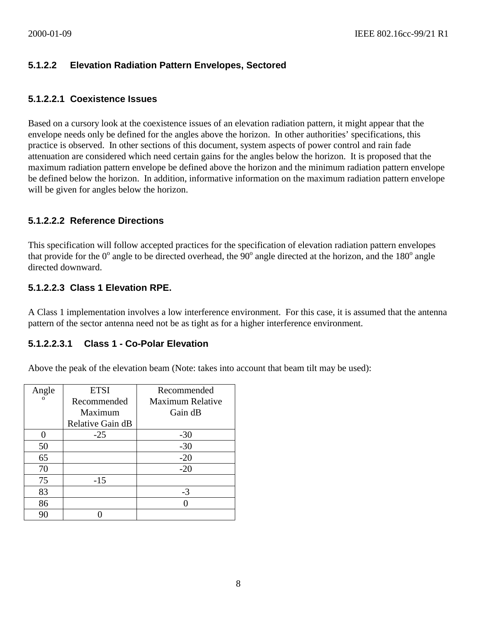# **5.1.2.2 Elevation Radiation Pattern Envelopes, Sectored**

#### **5.1.2.2.1 Coexistence Issues**

Based on a cursory look at the coexistence issues of an elevation radiation pattern, it might appear that the envelope needs only be defined for the angles above the horizon. In other authorities' specifications, this practice is observed. In other sections of this document, system aspects of power control and rain fade attenuation are considered which need certain gains for the angles below the horizon. It is proposed that the maximum radiation pattern envelope be defined above the horizon and the minimum radiation pattern envelope be defined below the horizon. In addition, informative information on the maximum radiation pattern envelope will be given for angles below the horizon.

# **5.1.2.2.2 Reference Directions**

This specification will follow accepted practices for the specification of elevation radiation pattern envelopes that provide for the  $0^{\circ}$  angle to be directed overhead, the  $90^{\circ}$  angle directed at the horizon, and the 180 $^{\circ}$  angle directed downward.

#### **5.1.2.2.3 Class 1 Elevation RPE.**

A Class 1 implementation involves a low interference environment. For this case, it is assumed that the antenna pattern of the sector antenna need not be as tight as for a higher interference environment.

#### **5.1.2.2.3.1 Class 1 - Co-Polar Elevation**

Above the peak of the elevation beam (Note: takes into account that beam tilt may be used):

| Angle    | <b>ETSI</b>      | Recommended      |
|----------|------------------|------------------|
| $\Omega$ | Recommended      | Maximum Relative |
|          | Maximum          | Gain dB          |
|          | Relative Gain dB |                  |
|          | $-25$            | $-30$            |
| 50       |                  | $-30$            |
| 65       |                  | $-20$            |
| 70       |                  | $-20$            |
| 75       | $-15$            |                  |
| 83       |                  | $-3$             |
| 86       |                  |                  |
| 90       |                  |                  |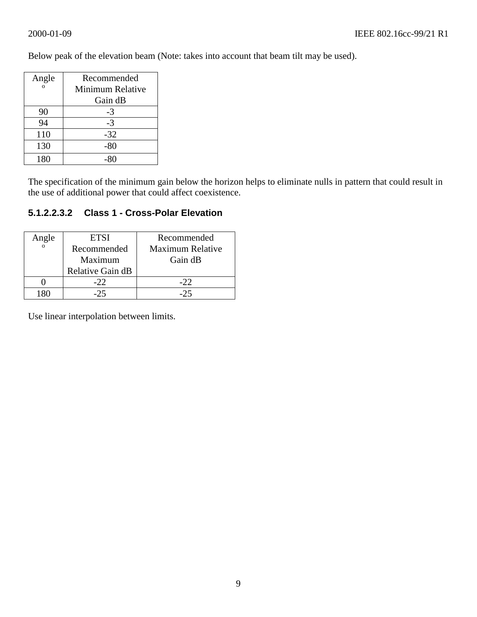Angle Recommended Minimum Relative Gain dB 90 -3  $94$  -3 110 -32 130 -80 180 -80

Below peak of the elevation beam (Note: takes into account that beam tilt may be used).

The specification of the minimum gain below the horizon helps to eliminate nulls in pattern that could result in the use of additional power that could affect coexistence.

# **5.1.2.2.3.2 Class 1 - Cross-Polar Elevation**

| Angle | ETSI             | Recommended             |
|-------|------------------|-------------------------|
|       | Recommended      | <b>Maximum Relative</b> |
|       | Maximum          | Gain dB                 |
|       | Relative Gain dB |                         |
|       | $-22.$           | $-22$                   |
|       | -25              | $-25$                   |

Use linear interpolation between limits.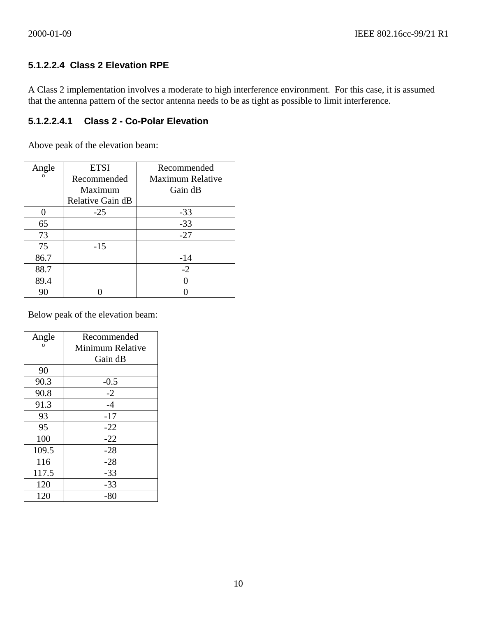# **5.1.2.2.4 Class 2 Elevation RPE**

A Class 2 implementation involves a moderate to high interference environment. For this case, it is assumed that the antenna pattern of the sector antenna needs to be as tight as possible to limit interference.

# **5.1.2.2.4.1 Class 2 - Co-Polar Elevation**

Above peak of the elevation beam:

| Angle    | <b>ETSI</b>      | Recommended             |
|----------|------------------|-------------------------|
| $\Omega$ | Recommended      | <b>Maximum Relative</b> |
|          | Maximum          | Gain dB                 |
|          | Relative Gain dB |                         |
|          | $-25$            | $-33$                   |
| 65       |                  | $-33$                   |
| 73       |                  | $-27$                   |
| 75       | $-15$            |                         |
| 86.7     |                  | $-14$                   |
| 88.7     |                  | $-2$                    |
| 89.4     |                  |                         |
| 90       |                  |                         |

Below peak of the elevation beam:

| Angle    | Recommended      |
|----------|------------------|
| $\Omega$ | Minimum Relative |
|          | Gain dB          |
| 90       |                  |
| 90.3     | $-0.5$           |
| 90.8     | $-2$             |
| 91.3     | $-4$             |
| 93       | $-17$            |
| 95       | $-22$            |
| 100      | $-22$            |
| 109.5    | $-28$            |
| 116      | $-28$            |
| 117.5    | $-33$            |
| 120      | $-33$            |
| 120      | $-80$            |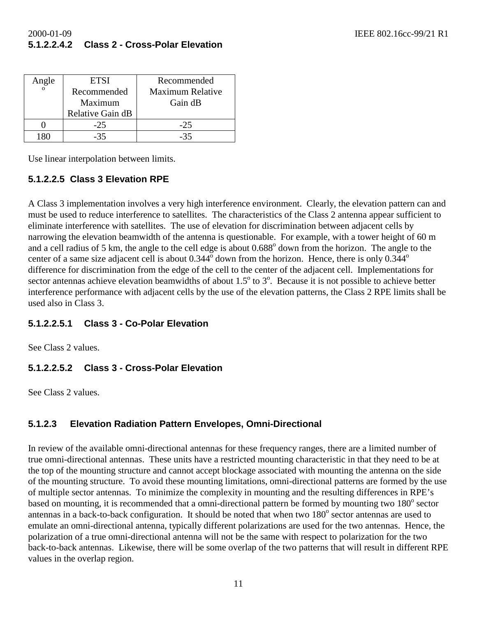# 2000-01-09 IEEE 802.16cc-99/21 R1 **5.1.2.2.4.2 Class 2 - Cross-Polar Elevation**

| Angle | <b>ETSI</b>      | Recommended             |  |
|-------|------------------|-------------------------|--|
|       | Recommended      | <b>Maximum Relative</b> |  |
|       | Maximum          | Gain dB                 |  |
|       | Relative Gain dB |                         |  |
|       | $-25$            | $-25$                   |  |
|       | -35              |                         |  |

Use linear interpolation between limits.

# **5.1.2.2.5 Class 3 Elevation RPE**

A Class 3 implementation involves a very high interference environment. Clearly, the elevation pattern can and must be used to reduce interference to satellites. The characteristics of the Class 2 antenna appear sufficient to eliminate interference with satellites. The use of elevation for discrimination between adjacent cells by narrowing the elevation beamwidth of the antenna is questionable. For example, with a tower height of 60 m and a cell radius of 5 km, the angle to the cell edge is about 0.688<sup>°</sup> down from the horizon. The angle to the center of a same size adjacent cell is about  $0.344^{\circ}$  down from the horizon. Hence, there is only  $0.344^{\circ}$ difference for discrimination from the edge of the cell to the center of the adjacent cell. Implementations for sector antennas achieve elevation beamwidths of about  $1.5^{\circ}$  to  $3^{\circ}$ . Because it is not possible to achieve better interference performance with adjacent cells by the use of the elevation patterns, the Class 2 RPE limits shall be used also in Class 3.

# **5.1.2.2.5.1 Class 3 - Co-Polar Elevation**

See Class 2 values.

# **5.1.2.2.5.2 Class 3 - Cross-Polar Elevation**

See Class 2 values.

# **5.1.2.3 Elevation Radiation Pattern Envelopes, Omni-Directional**

In review of the available omni-directional antennas for these frequency ranges, there are a limited number of true omni-directional antennas. These units have a restricted mounting characteristic in that they need to be at the top of the mounting structure and cannot accept blockage associated with mounting the antenna on the side of the mounting structure. To avoid these mounting limitations, omni-directional patterns are formed by the use of multiple sector antennas. To minimize the complexity in mounting and the resulting differences in RPE's based on mounting, it is recommended that a omni-directional pattern be formed by mounting two 180° sector antennas in a back-to-back configuration. It should be noted that when two 180° sector antennas are used to emulate an omni-directional antenna, typically different polarizations are used for the two antennas. Hence, the polarization of a true omni-directional antenna will not be the same with respect to polarization for the two back-to-back antennas. Likewise, there will be some overlap of the two patterns that will result in different RPE values in the overlap region.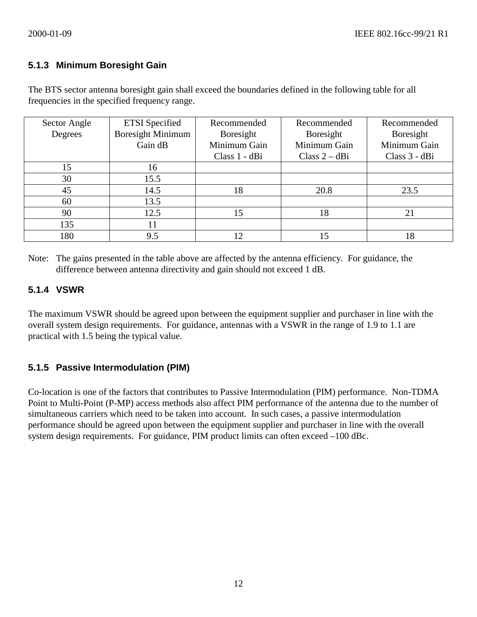### **5.1.3 Minimum Boresight Gain**

The BTS sector antenna boresight gain shall exceed the boundaries defined in the following table for all frequencies in the specified frequency range.

| Sector Angle | <b>ETSI</b> Specified    | Recommended   | Recommended    | Recommended   |
|--------------|--------------------------|---------------|----------------|---------------|
| Degrees      | <b>Boresight Minimum</b> | Boresight     | Boresight      | Boresight     |
|              | Gain dB                  | Minimum Gain  | Minimum Gain   | Minimum Gain  |
|              |                          | Class 1 - dBi | Class $2 - dB$ | Class 3 - dBi |
| 15           | 16                       |               |                |               |
| 30           | 15.5                     |               |                |               |
| 45           | 14.5                     | 18            | 20.8           | 23.5          |
| 60           | 13.5                     |               |                |               |
| 90           | 12.5                     | 15            | 18             | 21            |
| 135          | 11                       |               |                |               |
| 180          | 9.5                      | 12            | 15             | 18            |

Note: The gains presented in the table above are affected by the antenna efficiency. For guidance, the difference between antenna directivity and gain should not exceed 1 dB.

#### **5.1.4 VSWR**

The maximum VSWR should be agreed upon between the equipment supplier and purchaser in line with the overall system design requirements. For guidance, antennas with a VSWR in the range of 1.9 to 1.1 are practical with 1.5 being the typical value.

# **5.1.5 Passive Intermodulation (PIM)**

Co-location is one of the factors that contributes to Passive Intermodulation (PIM) performance. Non-TDMA Point to Multi-Point (P-MP) access methods also affect PIM performance of the antenna due to the number of simultaneous carriers which need to be taken into account. In such cases, a passive intermodulation performance should be agreed upon between the equipment supplier and purchaser in line with the overall system design requirements. For guidance, PIM product limits can often exceed –100 dBc.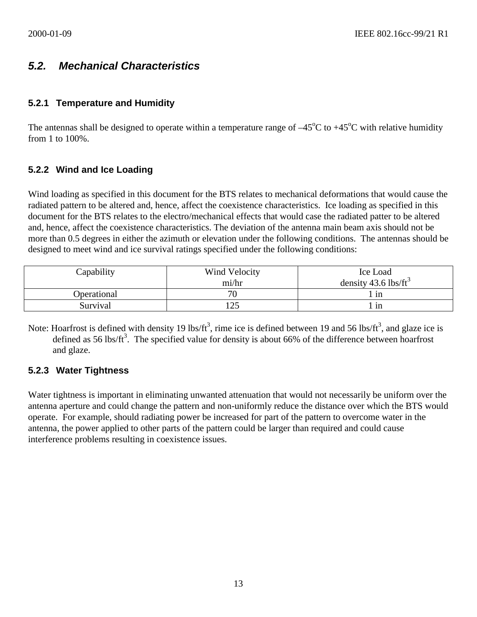# *5.2. Mechanical Characteristics*

## **5.2.1 Temperature and Humidity**

The antennas shall be designed to operate within a temperature range of  $-45^{\circ}$ C to  $+45^{\circ}$ C with relative humidity from 1 to 100%.

# **5.2.2 Wind and Ice Loading**

Wind loading as specified in this document for the BTS relates to mechanical deformations that would cause the radiated pattern to be altered and, hence, affect the coexistence characteristics. Ice loading as specified in this document for the BTS relates to the electro/mechanical effects that would case the radiated patter to be altered and, hence, affect the coexistence characteristics. The deviation of the antenna main beam axis should not be more than 0.5 degrees in either the azimuth or elevation under the following conditions. The antennas should be designed to meet wind and ice survival ratings specified under the following conditions:

| Capability  | Wind Velocity | Ice Load                         |  |
|-------------|---------------|----------------------------------|--|
|             | mi/hr         | density 43.6 lbs/ft <sup>3</sup> |  |
| Operational | 70            | 1n                               |  |
| Survival    | 125           | 1n                               |  |

Note: Hoarfrost is defined with density 19 lbs/ft<sup>3</sup>, rime ice is defined between 19 and 56 lbs/ft<sup>3</sup>, and glaze ice is defined as 56 lbs/ft<sup>3</sup>. The specified value for density is about 66% of the difference between hoarfrost and glaze.

#### **5.2.3 Water Tightness**

Water tightness is important in eliminating unwanted attenuation that would not necessarily be uniform over the antenna aperture and could change the pattern and non-uniformly reduce the distance over which the BTS would operate. For example, should radiating power be increased for part of the pattern to overcome water in the antenna, the power applied to other parts of the pattern could be larger than required and could cause interference problems resulting in coexistence issues.